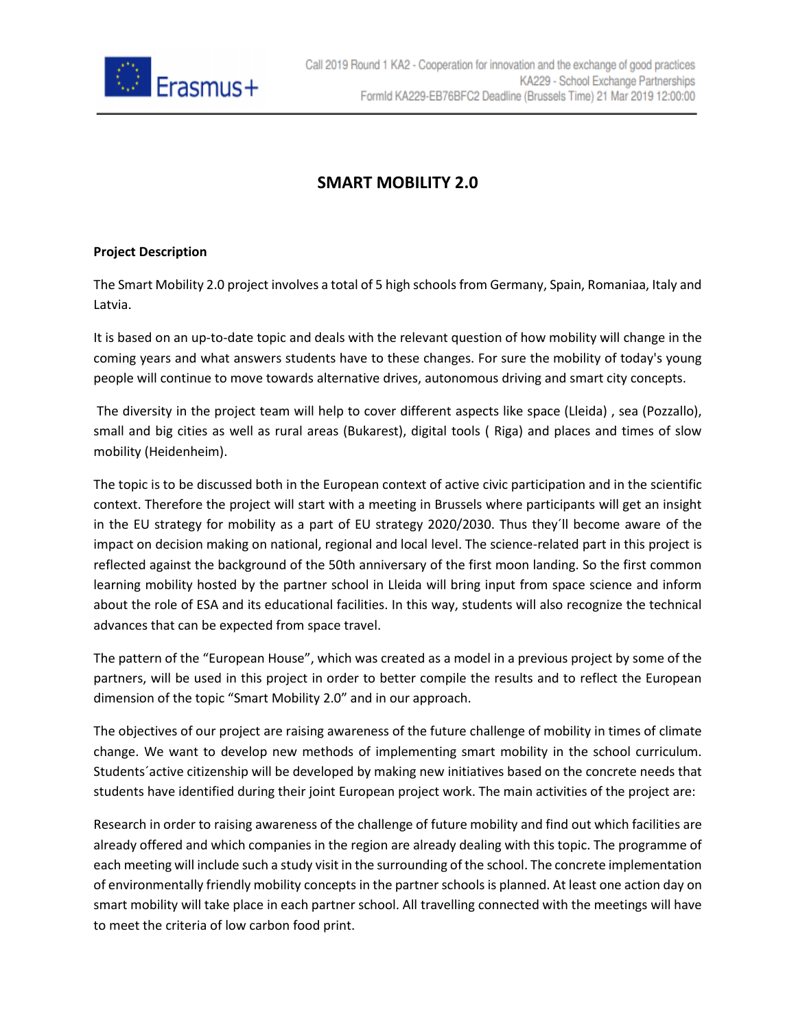

## **SMART MOBILITY 2.0**

## **Project Description**

The Smart Mobility 2.0 project involves a total of 5 high schools from Germany, Spain, Romaniaa, Italy and Latvia.

It is based on an up-to-date topic and deals with the relevant question of how mobility will change in the coming years and what answers students have to these changes. For sure the mobility of today's young people will continue to move towards alternative drives, autonomous driving and smart city concepts.

The diversity in the project team will help to cover different aspects like space (Lleida) , sea (Pozzallo), small and big cities as well as rural areas (Bukarest), digital tools ( Riga) and places and times of slow mobility (Heidenheim).

The topic is to be discussed both in the European context of active civic participation and in the scientific context. Therefore the project will start with a meeting in Brussels where participants will get an insight in the EU strategy for mobility as a part of EU strategy 2020/2030. Thus they´ll become aware of the impact on decision making on national, regional and local level. The science-related part in this project is reflected against the background of the 50th anniversary of the first moon landing. So the first common learning mobility hosted by the partner school in Lleida will bring input from space science and inform about the role of ESA and its educational facilities. In this way, students will also recognize the technical advances that can be expected from space travel.

The pattern of the "European House", which was created as a model in a previous project by some of the partners, will be used in this project in order to better compile the results and to reflect the European dimension of the topic "Smart Mobility 2.0" and in our approach.

The objectives of our project are raising awareness of the future challenge of mobility in times of climate change. We want to develop new methods of implementing smart mobility in the school curriculum. Students´active citizenship will be developed by making new initiatives based on the concrete needs that students have identified during their joint European project work. The main activities of the project are:

Research in order to raising awareness of the challenge of future mobility and find out which facilities are already offered and which companies in the region are already dealing with this topic. The programme of each meeting will include such a study visit in the surrounding of the school. The concrete implementation of environmentally friendly mobility concepts in the partner schools is planned. At least one action day on smart mobility will take place in each partner school. All travelling connected with the meetings will have to meet the criteria of low carbon food print.